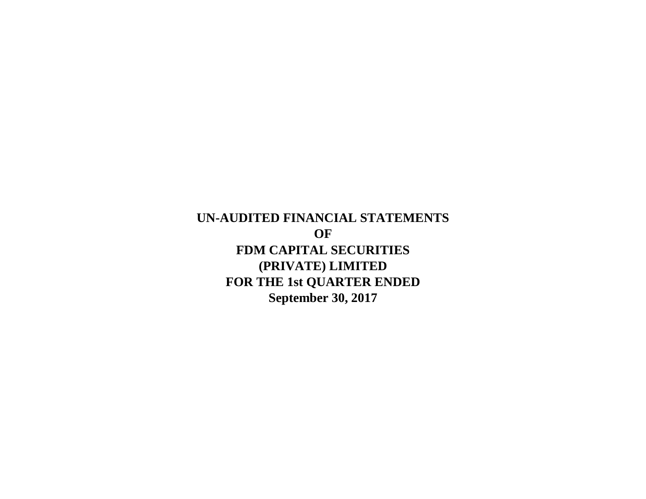**September 30, 2017 UN-AUDITED FINANCIAL STATEMENTS OF FDM CAPITAL SECURITIES (PRIVATE) LIMITED FOR THE 1st QUARTER ENDED**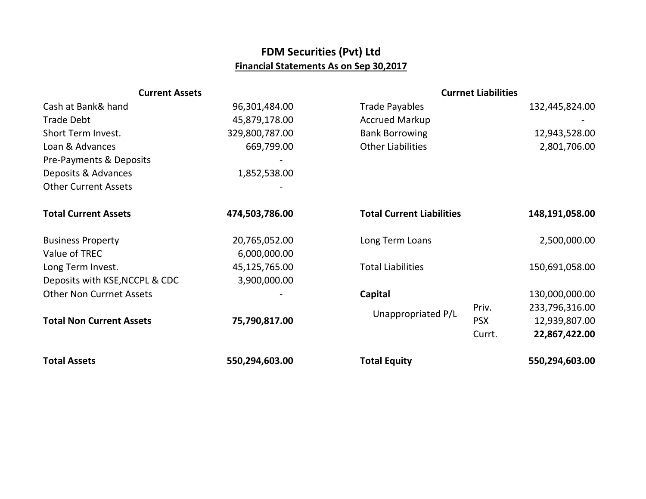## **FDM Securities (Pvt) Ltd Financial Statements As on Sep 30,2017**

| <b>Current Assets</b>           |                |                                  | <b>Currnet Liabilities</b> |                |  |
|---------------------------------|----------------|----------------------------------|----------------------------|----------------|--|
| Cash at Bank& hand              | 96,301,484.00  | <b>Trade Payables</b>            |                            | 132,445,824.00 |  |
| <b>Trade Debt</b>               | 45,879,178.00  | <b>Accrued Markup</b>            |                            |                |  |
| Short Term Invest.              | 329,800,787.00 | <b>Bank Borrowing</b>            |                            | 12,943,528.00  |  |
| Loan & Advances                 | 669,799.00     | <b>Other Liabilities</b>         |                            | 2,801,706.00   |  |
| Pre-Payments & Deposits         |                |                                  |                            |                |  |
| Deposits & Advances             | 1,852,538.00   |                                  |                            |                |  |
| <b>Other Current Assets</b>     |                |                                  |                            |                |  |
| <b>Total Current Assets</b>     | 474,503,786.00 | <b>Total Current Liabilities</b> |                            | 148,191,058.00 |  |
| <b>Business Property</b>        | 20,765,052.00  | Long Term Loans                  |                            | 2,500,000.00   |  |
| Value of TREC                   | 6,000,000.00   |                                  |                            |                |  |
| Long Term Invest.               | 45,125,765.00  | <b>Total Liabilities</b>         |                            | 150,691,058.00 |  |
| Deposits with KSE, NCCPL & CDC  | 3,900,000.00   |                                  |                            |                |  |
| <b>Other Non Currnet Assets</b> |                | Capital                          |                            | 130,000,000.00 |  |
| <b>Total Non Current Assets</b> |                | Unappropriated P/L               | Priv.                      | 233,796,316.00 |  |
|                                 | 75,790,817.00  |                                  | <b>PSX</b>                 | 12,939,807.00  |  |
|                                 |                |                                  | Currt.                     | 22,867,422.00  |  |
| <b>Total Assets</b>             | 550,294,603.00 | <b>Total Equity</b>              |                            | 550,294,603.00 |  |